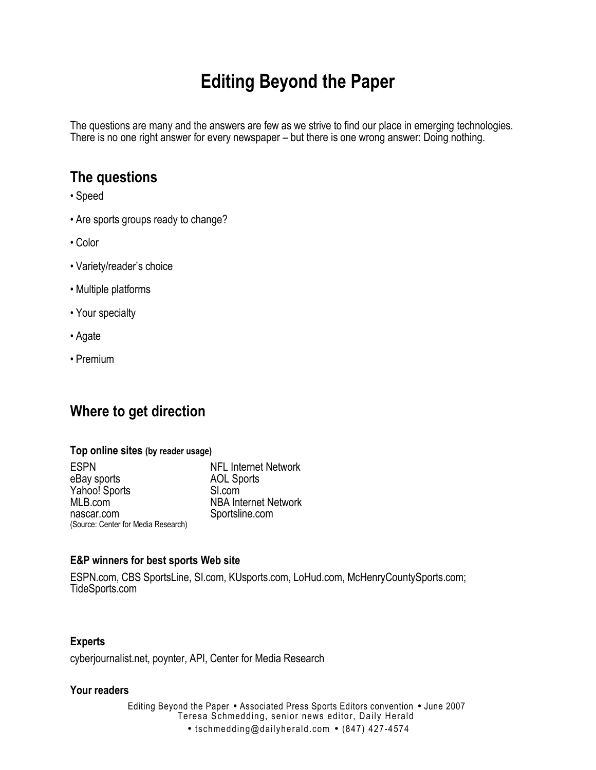# **Editing Beyond the Paper**

The questions are many and the answers are few as we strive to find our place in emerging technologies. There is no one right answer for every newspaper – but there is one wrong answer: Doing nothing.

# **The questions**

- Speed
- Are sports groups ready to change?
- Color
- Variety/reader's choice
- Multiple platforms
- Your specialty
- Agate
- Premium

# **Where to get direction**

#### **Top online sites (by reader usage)**

ESPN NFL Internet Network eBay sports Yahoo! Sports SI.com<br>MLB.com NBA Int **NBA Internet Network** nascar.com Sportsline.com (Source: Center for Media Research)

## **E&P winners for best sports Web site**

ESPN.com, CBS SportsLine, SI.com, KUsports.com, LoHud.com, McHenryCountySports.com; TideSports.com

## **Experts**

cyberjournalist.net, poynter, API, Center for Media Research

### **Your readers**

Editing Beyond the Paper • Associated Press Sports Editors convention • June 2007 Teresa Schmedding, senior news editor, Daily Herald • tschmedding@dailyherald.com • (847) 427-4574